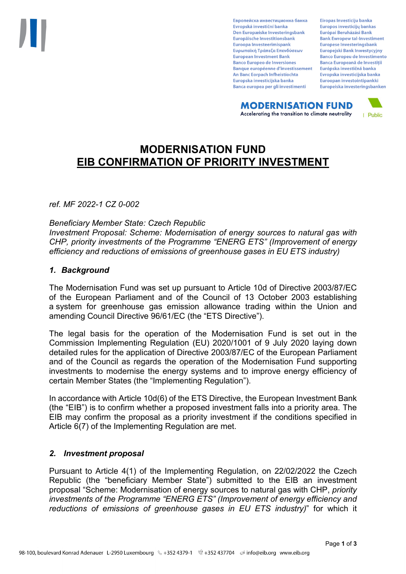Европейска инвестиционна банка Evropská investiční banka Den Europæiske Investeringsbank Europäische Investitionsbank Euroopa Investeerimispank Ευρωπαϊκή Τράπεζα Επενδύσεων **European Investment Bank Banco Europeo de Inversiones Banque européenne d'investissement** An Banc Eorpach Infheistíochta Europska investicijska banka Banca europea per gli investimenti

Eiropas Investīciju banka Europos investicijų bankas Európai Beruházási Bank **Bank Ewropew tal-Investiment** Europese Investeringsbank **Europeiski Bank Inwestycviny Banco Europeu de Investimento Banca Europeană de Investiții** Európska investičná banka Evropska investicijska banka Euroopan investointipankki Europeiska investeringsbanken

**MODERNISATION FUND** Accelerating the transition to climate neutrality



# **MODERNISATION FUND EIB CONFIRMATION OF PRIORITY INVESTMENT**

*ref. MF 2022-1 CZ 0-002*

*Beneficiary Member State: Czech Republic Investment Proposal: Scheme: Modernisation of energy sources to natural gas with CHP, priority investments of the Programme "ENERG ETS" (Improvement of energy efficiency and reductions of emissions of greenhouse gases in EU ETS industry)*

## *1. Background*

The Modernisation Fund was set up pursuant to Article 10d of Directive 2003/87/EC of the European Parliament and of the Council of 13 October 2003 establishing a system for greenhouse gas emission allowance trading within the Union and amending Council Directive 96/61/EC (the "ETS Directive").

The legal basis for the operation of the Modernisation Fund is set out in the Commission Implementing Regulation (EU) 2020/1001 of 9 July 2020 laying down detailed rules for the application of Directive 2003/87/EC of the European Parliament and of the Council as regards the operation of the Modernisation Fund supporting investments to modernise the energy systems and to improve energy efficiency of certain Member States (the "Implementing Regulation").

In accordance with Article 10d(6) of the ETS Directive, the European Investment Bank (the "EIB") is to confirm whether a proposed investment falls into a priority area. The EIB may confirm the proposal as a priority investment if the conditions specified in Article 6(7) of the Implementing Regulation are met.

## *2. Investment proposal*

Pursuant to Article 4(1) of the Implementing Regulation, on 22/02/2022 the Czech Republic (the "beneficiary Member State") submitted to the EIB an investment proposal "Scheme: Modernisation of energy sources to natural gas with CHP, *priority investments of the Programme "ENERG ETS" (Improvement of energy efficiency and reductions of emissions of greenhouse gases in EU ETS industry)*" for which it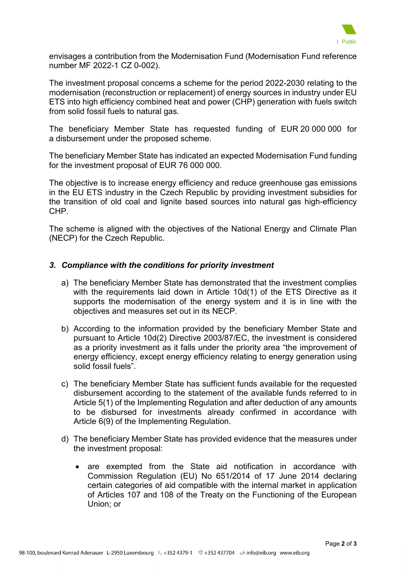

envisages a contribution from the Modernisation Fund (Modernisation Fund reference number MF 2022-1 CZ 0-002).

The investment proposal concerns a scheme for the period 2022-2030 relating to the modernisation (reconstruction or replacement) of energy sources in industry under EU ETS into high efficiency combined heat and power (CHP) generation with fuels switch from solid fossil fuels to natural gas.

The beneficiary Member State has requested funding of EUR 20 000 000 for a disbursement under the proposed scheme.

The beneficiary Member State has indicated an expected Modernisation Fund funding for the investment proposal of EUR 76 000 000.

The objective is to increase energy efficiency and reduce greenhouse gas emissions in the EU ETS industry in the Czech Republic by providing investment subsidies for the transition of old coal and lignite based sources into natural gas high-efficiency CHP.

The scheme is aligned with the objectives of the National Energy and Climate Plan (NECP) for the Czech Republic.

## *3. Compliance with the conditions for priority investment*

- a) The beneficiary Member State has demonstrated that the investment complies with the requirements laid down in Article 10d(1) of the ETS Directive as it supports the modernisation of the energy system and it is in line with the objectives and measures set out in its NECP.
- b) According to the information provided by the beneficiary Member State and pursuant to Article 10d(2) Directive 2003/87/EC, the investment is considered as a priority investment as it falls under the priority area "the improvement of energy efficiency, except energy efficiency relating to energy generation using solid fossil fuels".
- c) The beneficiary Member State has sufficient funds available for the requested disbursement according to the statement of the available funds referred to in Article 5(1) of the Implementing Regulation and after deduction of any amounts to be disbursed for investments already confirmed in accordance with Article 6(9) of the Implementing Regulation.
- d) The beneficiary Member State has provided evidence that the measures under the investment proposal:
	- are exempted from the State aid notification in accordance with Commission Regulation (EU) No 651/2014 of 17 June 2014 declaring certain categories of aid compatible with the internal market in application of Articles 107 and 108 of the Treaty on the Functioning of the European Union; or